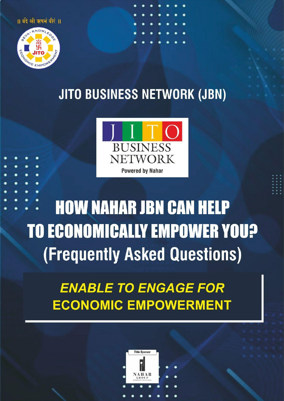॥ बंदे श्री ऋषमं वीरं ॥



## **JITO BUSINESS NETWORK (JBN)**



# **HOW NAHAR JBN CAN HELP TO ECONOMICALLY EMPOWER YOU? (Frequently Asked Questions)**

## **ENABLE TO ENGAGE FOR ECONOMIC EMPOWERMENT**

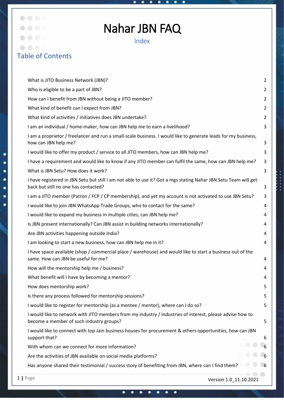## Nahar JBN FAQ

Index

## Table of Contents

 $\bullet$   $\bullet$   $\bullet$   $\bullet$ 

 $\bigcirc$ 

| 1   Page<br>Version 1.0_11.10.2021                                                                                                                      |                |
|---------------------------------------------------------------------------------------------------------------------------------------------------------|----------------|
| Has anyone shared their testimonial / success story of benefiting from JBN, where can I find them?                                                      |                |
| Are the activities of JBN available on social media platforms?                                                                                          |                |
| With whom can we connect for more information?                                                                                                          |                |
| I would like to connect with top Jain business houses for procurement & others opportunities, how can JBN<br>support that?                              | 6              |
| I would like to network with JITO members from my industry / industries of interest, please advise how to<br>become a member of such industry groups?   | 5              |
| I would like to register for mentorship (as a mentee / mentor), where can I do so?                                                                      | 5              |
| Is there any process followed for mentorship sessions?                                                                                                  | 5              |
| How does mentorship work?                                                                                                                               | 5              |
| What benefit will I have by becoming a mentor?                                                                                                          | 4              |
| How will the mentorship help me / business?                                                                                                             | 4              |
| I have space available (shop / commercial place / warehouse) and would like to start a business out of the<br>same. How can JBN be useful for me?       | 4              |
| I am looking to start a new business, how can JBN help me in it?                                                                                        | 4              |
| Are JBN activities happening outside India?                                                                                                             | 4              |
| Is JBN present internationally? Can JBN assist in building networks internationally?                                                                    | 4              |
| I would like to expand my business in multiple cities, can JBN help me?                                                                                 | 4              |
| I would like to join JBN WhatsApp Trade Groups, who to contact for the same?                                                                            | 4              |
| I am a JITO member (Patron / FCP / CP membership), and yet my account is not activated to use JBN Setu?                                                 | 3              |
| I have registered in JBN Setu but still I am not able to use it? Got a mgs stating Nahar JBN Setu Team will get<br>back but still no one has contacted? | 3              |
| What is JBN Setu? How does it work?                                                                                                                     | 3              |
| I have a requirement and would like to know if any JITO member can fulfil the same, how can JBN help me?                                                | 3              |
| how can JBN help me?<br>I would like to offer my product / service to all JITO members, how can JBN help me?                                            | 3<br>3         |
| I am a proprietor / freelancer and run a small-scale business. I would like to generate leads for my business,                                          |                |
| I am an individual / home-maker, how can JBN help me to earn a livelihood?                                                                              | 3              |
| What kind of activities / initiatives does JBN undertake?                                                                                               | $\overline{2}$ |
| What kind of benefit can I expect from JBN?                                                                                                             | $\overline{2}$ |
| How can I benefit from JBN without being a JITO member?                                                                                                 | $\overline{2}$ |
| Who is eligible to be a part of JBN?                                                                                                                    | $\overline{2}$ |
| What is JITO Business Network (JBN)?                                                                                                                    | $\overline{2}$ |

٠

٠

٠

٠

٠ ٠ ٠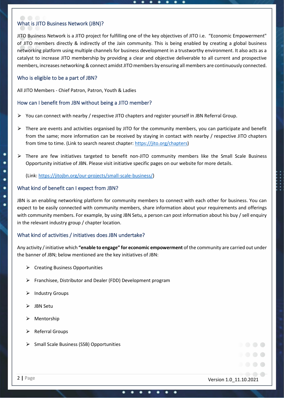#### What is JITO Business Network (JBN)?

JITO Business Network is a JITO project for fulfilling one of the key objectives of JITO i.e. "Economic Empowerment" of JITO members directly & indirectly of the Jain community. This is being enabled by creating a global business networking platform using multiple channels for business development in a trustworthy environment. It also acts as a catalyst to increase JITO membership by providing a clear and objective deliverable to all current and prospective members, increases networking & connect amidst JITO members by ensuring all members are continuously connected.

#### Who is eligible to be a part of JBN?

All JITO Members - Chief Patron, Patron, Youth & Ladies

#### How can I benefit from JBN without being a JITO member?

- $\triangleright$  You can connect with nearby / respective JITO chapters and register yourself in JBN Referral Group.
- $\triangleright$  There are events and activities organised by JITO for the community members, you can participate and benefit from the same; more information can be received by staying in contact with nearby / respective JITO chapters from time to time. (Link to search nearest chapter: [https://jito.org/chapters\)](https://jito.org/chapters)
- $\triangleright$  There are few initiatives targeted to benefit non-JITO community members like the Small Scale Business Opportunity initiative of JBN. Please visit initiative specific pages on our website for more details.

(Link[: https://jitojbn.org/our-projects/small-scale-business/\)](https://jitojbn.org/our-projects/small-scale-business/)

#### What kind of benefit can I expect from JBN?

JBN is an enabling networking platform for community members to connect with each other for business. You can expect to be easily connected with community members, share information about your requirements and offerings with community members. For example, by using JBN Setu, a person can post information about his buy / sell enquiry in the relevant industry group / chapter location.

#### What kind of activities / initiatives does JBN undertake?

Any activity / initiative which **"enable to engage" for economic empowerment** of the community are carried out under the banner of JBN; below mentioned are the key initiatives of JBN:

- $\triangleright$  Creating Business Opportunities
- $\triangleright$  Franchisee, Distributor and Dealer (FDD) Development program
- ▶ Industry Groups
- ⮚ JBN Setu

c

- $\triangleright$  Mentorship
- $\triangleright$  Referral Groups
- ⮚ Small Scale Business (SSB) Opportunities

2 **|** Page Version 1.0\_11.10.2021

. . . .

. . . .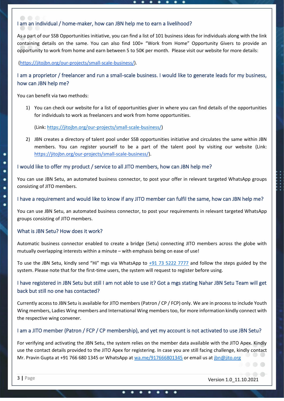#### I am an individual / home-maker, how can JBN help me to earn a livelihood?

As a part of our SSB Opportunities initiative, you can find a list of 101 business ideas for individuals along with the link containing details on the same. You can also find 100+ "Work from Home" Opportunity Givers to provide an opportunity to work from home and earn between 5 to 50K per month. Please visit our website for more details:

[\(https://jitojbn.org/our-projects/small-scale-business/\)](https://jitojbn.org/our-projects/small-scale-business/).

### I am a proprietor / freelancer and run a small-scale business. I would like to generate leads for my business, how can JBN help me?

You can benefit via two methods:

1) You can check our website for a list of opportunities giver in where you can find details of the opportunities for individuals to work as freelancers and work from home opportunities.

(Link[: https://jitojbn.org/our-projects/small-scale-business/\)](https://jitojbn.org/our-projects/small-scale-business/)

2) JBN creates a directory of talent pool under SSB opportunities initiative and circulates the same within JBN members. You can register yourself to be a part of the talent pool by visiting our website (Link: [https://jitojbn.org/our-projects/small-scale-business/\)](https://jitojbn.org/our-projects/small-scale-business/).

#### I would like to offer my product / service to all JITO members, how can JBN help me?

You can use JBN Setu, an automated business connector, to post your offer in relevant targeted WhatsApp groups consisting of JITO members.

#### I have a requirement and would like to know if any JITO member can fulfil the same, how can JBN help me?

You can use JBN Setu, an automated business connector, to post your requirements in relevant targeted WhatsApp groups consisting of JITO members.

#### What is JBN Setu? How does it work?

Automatic business connector enabled to create a bridge (Setu) connecting JITO members across the globe with mutually overlapping interests within a minute – with emphasis being on ease of use!

To use the JBN Setu, kindly send "Hi" mgs via WhatsApp to [+91 73 5222 7777](http://wa.me/917352227777) and follow the steps guided by the system. Please note that for the first-time users, the system will request to register before using.

### I have registered in JBN Setu but still I am not able to use it? Got a mgs stating Nahar JBN Setu Team will get back but still no one has contacted?

Currently access to JBN Setu is available for JITO members (Patron / CP / FCP) only. We are in process to include Youth Wing members, Ladies Wing members and International Wing members too, for more information kindly connect with the respective wing convener.

#### I am a JITO member (Patron / FCP / CP membership), and yet my account is not activated to use JBN Setu?

For verifying and activating the JBN Setu, the system relies on the member data available with the JITO Apex. Kindly use the contact details provided to the JITO Apex for registering. In case you are still facing challenge, kindly contact Mr. Pravin Gupta at +91 766 680 1345 or WhatsApp a[t wa.me/917666801345](http://wa.me/917666801345) or email us a[t jbn@jito.org](mailto:jbn@jito.org)

3 **|** Page Version 1.0\_11.10.2021

٠ ٠ ٠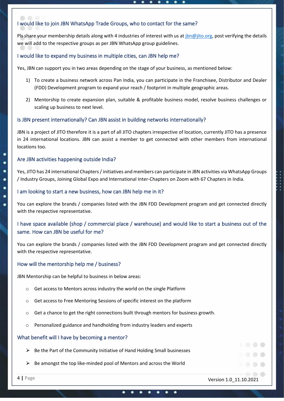#### I would like to join JBN WhatsApp Trade Groups, who to contact for the same?

Pls share your membership details along with 4 industries of interest with us a[t jbn@jito.org,](mailto:jbn@jito.org) post verifying the details we will add to the respective groups as per JBN WhatsApp group guidelines.

#### I would like to expand my business in multiple cities, can JBN help me?

Yes, JBN can support you in two areas depending on the stage of your business, as mentioned below:

- 1) To create a business network across Pan India, you can participate in the Franchisee, Distributor and Dealer (FDD) Development program to expand your reach / footprint in multiple geographic areas.
- 2) Mentorship to create expansion plan, suitable & profitable business model, resolve business challenges or scaling up business to next level.

#### Is JBN present internationally? Can JBN assist in building networks internationally?

JBN is a project of JITO therefore it is a part of all JITO chapters irrespective of location, currently JITO has a presence in 24 international locations. JBN can assist a member to get connected with other members from international locations too.

#### Are JBN activities happening outside India?

Yes, JITO has 24 international Chapters / initiatives and members can participate in JBN activities via WhatsApp Groups / Industry Groups, Joining Global Expo and International Inter-Chapters on Zoom with 67 Chapters in India.

#### I am looking to start a new business, how can JBN help me in it?

You can explore the brands / companies listed with the JBN FDD Development program and get connected directly with the respective representative.

### I have space available (shop / commercial place / warehouse) and would like to start a business out of the same. How can JBN be useful for me?

You can explore the brands / companies listed with the JBN FDD Development program and get connected directly with the respective representative.

#### How will the mentorship help me / business?

JBN Mentorship can be helpful to business in below areas:

- o Get access to Mentors across industry the world on the single Platform
- o Get access to Free Mentoring Sessions of specific interest on the platform
- o Get a chance to get the right connections built through mentors for business growth.
- o Personalized guidance and handholding from industry leaders and experts

#### What benefit will I have by becoming a mentor?

- $\triangleright$  Be the Part of the Community Initiative of Hand Holding Small businesses
- ⮚ Be amongst the top like-minded pool of Mentors and across the World

c

4 **|** Page Version 1.0\_11.10.2021

. . . .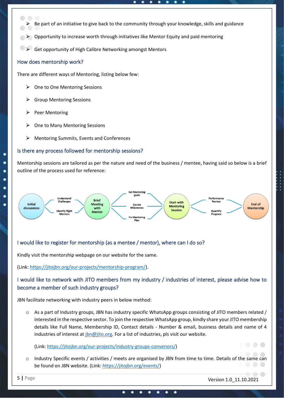- Be part of an initiative to give back to the community through your knowledge, skills and guidance
- $\triangleright$  Opportunity to increase worth through initiatives like Mentor Equity and paid mentoring
- Get opportunity of High Calibre Networking amongst Mentors

#### How does mentorship work?

 $\bigcirc$ 

c ٠ There are different ways of Mentoring, listing below few:

- **►** One to One Mentoring Sessions
- **►** Group Mentoring Sessions
- $\triangleright$  Peer Mentoring
- ⮚ One to Many Mentoring Sessions
- $\triangleright$  Mentoring Summits, Events and Conferences

#### Is there any process followed for mentorship sessions?

Mentorship sessions are tailored as per the nature and need of the business / mentee, having said so below is a brief outline of the process used for reference:



### I would like to register for mentorship (as a mentee / mentor), where can I do so?

Kindly visit the mentorship webpage on our website for the same.

(Link[: https://jitojbn.org/our-projects/mentorship-program/\)](https://jitojbn.org/our-projects/mentorship-program/).

### I would like to network with JITO members from my industry / industries of interest, please advise how to become a member of such industry groups?

JBN facilitate networking with industry peers in below method:

 $\circ$  As a part of Industry groups, JBN has industry specific WhatsApp groups consisting of JITO members related / interested in the respective sector. To join the respective WhatsApp group, kindly share your JITO membership details like Full Name, Membership ID, Contact details - Number & email, business details and name of 4 industries of interest at [jbn@jito.org.](mailto:jbn@jito.org) For a list of industries, pls visit our website.

(Link[: https://jitojbn.org/our-projects/industry-groups-convenors/\)](https://jitojbn.org/our-projects/industry-groups-convenors/)

o Industry Specific events / activities / meets are organised by JBN from time to time. Details of the same can be found on JBN website. (Link: [https://jitojbn.org/events/\)](https://jitojbn.org/events/)

. . . .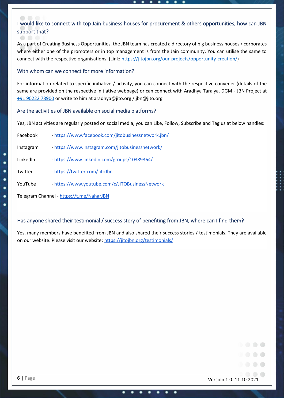### I would like to connect with top Jain business houses for procurement & others opportunities, how can JBN support that?

As a part of Creating Business Opportunities, the JBN team has created a directory of big business houses / corporates where either one of the promoters or in top management is from the Jain community. You can utilise the same to connect with the respective organisations. (Link[: https://jitojbn.org/our-projects/opportunity-creation/\)](https://jitojbn.org/our-projects/opportunity-creation/)

#### With whom can we connect for more information?

For information related to specific initiative / activity, you can connect with the respective convener (details of the same are provided on the respective initiative webpage) or can connect with Aradhya Taraiya, DGM - JBN Project at [+91 90222 78900](http://wa.me/919022278900) or write to him at [aradhya@jito.org](mailto:aradhya@jito.org) / [jbn@jito.org](mailto:jbn@jito.org) 

#### Are the activities of JBN available on social media platforms?

Yes, JBN activities are regularly posted on social media, you can Like, Follow, Subscribe and Tag us at below handles:

| Facebook |  | - https://www.facebook.com/jitobusinessnetwork.jbn/ |
|----------|--|-----------------------------------------------------|
|----------|--|-----------------------------------------------------|

Instagram - <https://www.instagram.com/jitobusinessnetwork/>

LinkedIn - <https://www.linkedin.com/groups/10389364/>

Twitter - <https://twitter.com/JitoJbn>

YouTube - https://www.youtube.com/c/JITOBusinessNetwork

Telegram Channel - <https://t.me/NaharJBN>

#### Has anyone shared their testimonial / success story of benefiting from JBN, where can I find them?

Yes, many members have benefited from JBN and also shared their success stories / testimonials. They are available on our website. Please visit our website:<https://jitojbn.org/testimonials/>

6 **|** Page Version 1.0\_11.10.2021

. . . .

c c